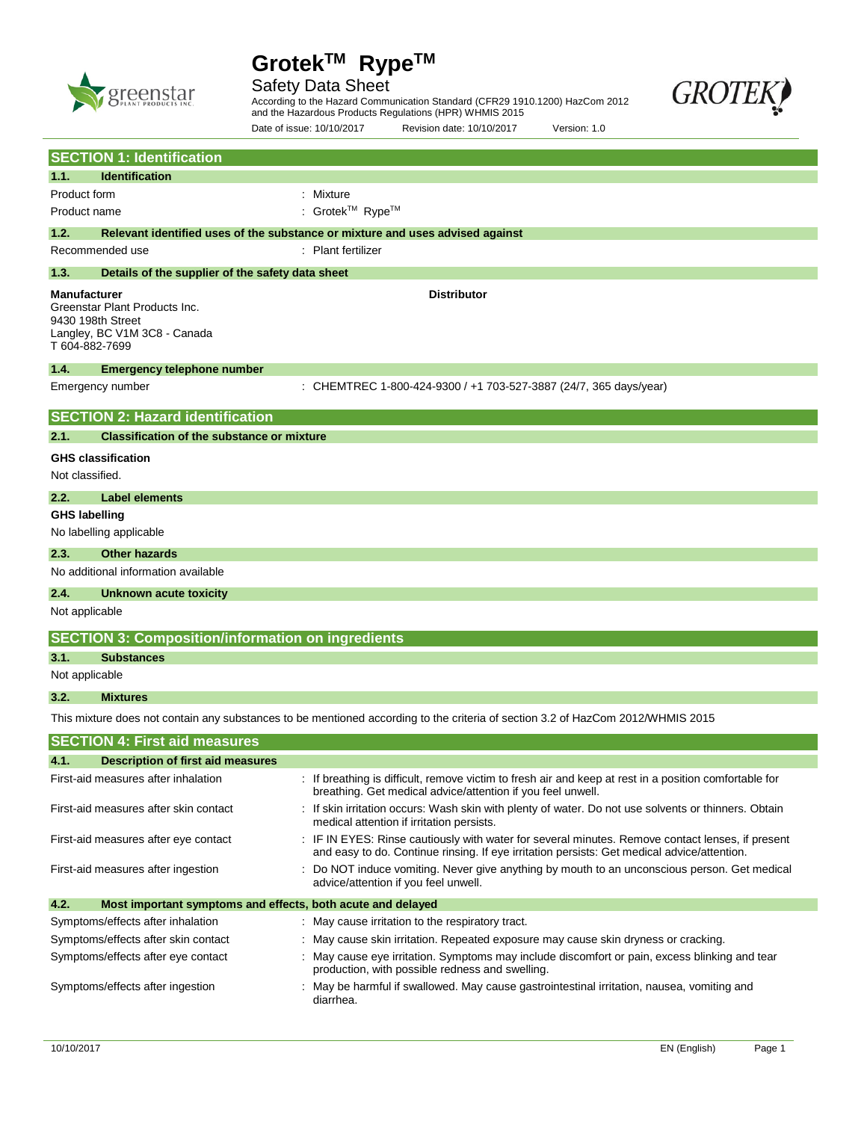

Safety Data Sheet



According to the Hazard Communication Standard (CFR29 1910.1200) HazCom 2012 and the Hazardous Products Regulations (HPR) WHMIS 2015 Date of issue: 10/10/2017 Revision date: 10/10/2017 Version: 1.0

|                                                                                                                             | <b>SECTION 1: Identification</b>                                                                                                                                           |                                                                                                                                                                                                 |  |  |
|-----------------------------------------------------------------------------------------------------------------------------|----------------------------------------------------------------------------------------------------------------------------------------------------------------------------|-------------------------------------------------------------------------------------------------------------------------------------------------------------------------------------------------|--|--|
| 1.1.                                                                                                                        | <b>Identification</b>                                                                                                                                                      |                                                                                                                                                                                                 |  |  |
| Product form<br>: Mixture                                                                                                   |                                                                                                                                                                            |                                                                                                                                                                                                 |  |  |
| Product name                                                                                                                |                                                                                                                                                                            | : Grotek™ Rype™                                                                                                                                                                                 |  |  |
| 1.2.                                                                                                                        |                                                                                                                                                                            | Relevant identified uses of the substance or mixture and uses advised against                                                                                                                   |  |  |
| Recommended use                                                                                                             |                                                                                                                                                                            | : Plant fertilizer                                                                                                                                                                              |  |  |
| 1.3.                                                                                                                        | Details of the supplier of the safety data sheet                                                                                                                           |                                                                                                                                                                                                 |  |  |
| <b>Manufacturer</b><br>Greenstar Plant Products Inc.<br>9430 198th Street<br>Langley, BC V1M 3C8 - Canada<br>T 604-882-7699 |                                                                                                                                                                            | <b>Distributor</b>                                                                                                                                                                              |  |  |
| 1.4.                                                                                                                        | <b>Emergency telephone number</b>                                                                                                                                          |                                                                                                                                                                                                 |  |  |
| Emergency number                                                                                                            |                                                                                                                                                                            | : CHEMTREC 1-800-424-9300 / +1 703-527-3887 (24/7, 365 days/year)                                                                                                                               |  |  |
|                                                                                                                             | <b>SECTION 2: Hazard identification</b>                                                                                                                                    |                                                                                                                                                                                                 |  |  |
| 2.1.                                                                                                                        | <b>Classification of the substance or mixture</b>                                                                                                                          |                                                                                                                                                                                                 |  |  |
| <b>GHS classification</b>                                                                                                   |                                                                                                                                                                            |                                                                                                                                                                                                 |  |  |
| Not classified.                                                                                                             |                                                                                                                                                                            |                                                                                                                                                                                                 |  |  |
| 2.2.                                                                                                                        | Label elements                                                                                                                                                             |                                                                                                                                                                                                 |  |  |
| <b>GHS labelling</b>                                                                                                        |                                                                                                                                                                            |                                                                                                                                                                                                 |  |  |
|                                                                                                                             | No labelling applicable                                                                                                                                                    |                                                                                                                                                                                                 |  |  |
| 2.3.                                                                                                                        | <b>Other hazards</b>                                                                                                                                                       |                                                                                                                                                                                                 |  |  |
|                                                                                                                             | No additional information available                                                                                                                                        |                                                                                                                                                                                                 |  |  |
| 2.4.                                                                                                                        | Unknown acute toxicity                                                                                                                                                     |                                                                                                                                                                                                 |  |  |
| Not applicable                                                                                                              |                                                                                                                                                                            |                                                                                                                                                                                                 |  |  |
|                                                                                                                             |                                                                                                                                                                            |                                                                                                                                                                                                 |  |  |
|                                                                                                                             | <b>SECTION 3: Composition/information on ingredients</b>                                                                                                                   |                                                                                                                                                                                                 |  |  |
| 3.1.                                                                                                                        | <b>Substances</b>                                                                                                                                                          |                                                                                                                                                                                                 |  |  |
|                                                                                                                             | Not applicable                                                                                                                                                             |                                                                                                                                                                                                 |  |  |
| 3.2.                                                                                                                        | <b>Mixtures</b>                                                                                                                                                            |                                                                                                                                                                                                 |  |  |
|                                                                                                                             |                                                                                                                                                                            | This mixture does not contain any substances to be mentioned according to the criteria of section 3.2 of HazCom 2012/WHMIS 2015                                                                 |  |  |
|                                                                                                                             | <b>SECTION 4: First aid measures</b>                                                                                                                                       |                                                                                                                                                                                                 |  |  |
| 4.1.                                                                                                                        | Description of first aid measures                                                                                                                                          |                                                                                                                                                                                                 |  |  |
|                                                                                                                             | First-aid measures after inhalation                                                                                                                                        | : If breathing is difficult, remove victim to fresh air and keep at rest in a position comfortable for<br>breathing. Get medical advice/attention if you feel unwell.                           |  |  |
|                                                                                                                             | First-aid measures after skin contact                                                                                                                                      | : If skin irritation occurs: Wash skin with plenty of water. Do not use solvents or thinners. Obtain<br>medical attention if irritation persists.                                               |  |  |
|                                                                                                                             | First-aid measures after eye contact                                                                                                                                       | : IF IN EYES: Rinse cautiously with water for several minutes. Remove contact lenses, if present<br>and easy to do. Continue rinsing. If eye irritation persists: Get medical advice/attention. |  |  |
|                                                                                                                             | : Do NOT induce vomiting. Never give anything by mouth to an unconscious person. Get medical<br>First-aid measures after ingestion<br>advice/attention if you feel unwell. |                                                                                                                                                                                                 |  |  |
| Most important symptoms and effects, both acute and delayed<br>4.2.                                                         |                                                                                                                                                                            |                                                                                                                                                                                                 |  |  |
|                                                                                                                             | Symptoms/effects after inhalation                                                                                                                                          | : May cause irritation to the respiratory tract.                                                                                                                                                |  |  |
|                                                                                                                             | Symptoms/effects after skin contact                                                                                                                                        | : May cause skin irritation. Repeated exposure may cause skin dryness or cracking.                                                                                                              |  |  |
|                                                                                                                             | Symptoms/effects after eye contact                                                                                                                                         | : May cause eye irritation. Symptoms may include discomfort or pain, excess blinking and tear<br>production, with possible redness and swelling.                                                |  |  |
|                                                                                                                             | Symptoms/effects after ingestion                                                                                                                                           | : May be harmful if swallowed. May cause gastrointestinal irritation, nausea, vomiting and                                                                                                      |  |  |

diarrhea.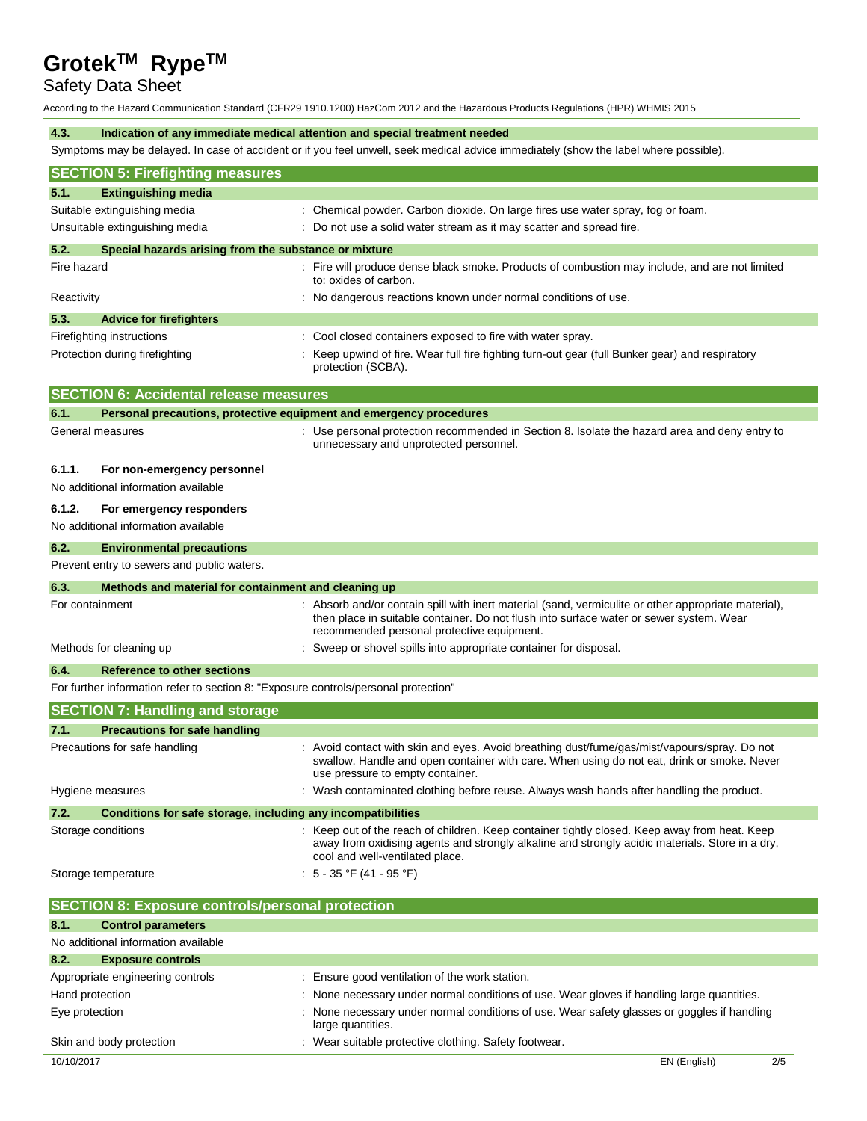# Safety Data Sheet

According to the Hazard Communication Standard (CFR29 1910.1200) HazCom 2012 and the Hazardous Products Regulations (HPR) WHMIS 2015

### **4.3. Indication of any immediate medical attention and special treatment needed**

Symptoms may be delayed. In case of accident or if you feel unwell, seek medical advice immediately (show the label where possible).

| <b>SECTION 5: Firefighting measures</b>                                             |                                                                                                                                                                                                                                               |  |  |  |
|-------------------------------------------------------------------------------------|-----------------------------------------------------------------------------------------------------------------------------------------------------------------------------------------------------------------------------------------------|--|--|--|
| <b>Extinguishing media</b><br>5.1.                                                  |                                                                                                                                                                                                                                               |  |  |  |
| Suitable extinguishing media                                                        | : Chemical powder. Carbon dioxide. On large fires use water spray, fog or foam.                                                                                                                                                               |  |  |  |
| Unsuitable extinguishing media                                                      | : Do not use a solid water stream as it may scatter and spread fire.                                                                                                                                                                          |  |  |  |
| 5.2.<br>Special hazards arising from the substance or mixture                       |                                                                                                                                                                                                                                               |  |  |  |
| Fire hazard                                                                         | : Fire will produce dense black smoke. Products of combustion may include, and are not limited<br>to: oxides of carbon.                                                                                                                       |  |  |  |
| Reactivity                                                                          | : No dangerous reactions known under normal conditions of use.                                                                                                                                                                                |  |  |  |
| 5.3.<br><b>Advice for firefighters</b>                                              |                                                                                                                                                                                                                                               |  |  |  |
| Firefighting instructions                                                           | : Cool closed containers exposed to fire with water spray.                                                                                                                                                                                    |  |  |  |
| Protection during firefighting                                                      | Keep upwind of fire. Wear full fire fighting turn-out gear (full Bunker gear) and respiratory<br>protection (SCBA).                                                                                                                           |  |  |  |
| <b>SECTION 6: Accidental release measures</b>                                       |                                                                                                                                                                                                                                               |  |  |  |
| 6.1.                                                                                | Personal precautions, protective equipment and emergency procedures                                                                                                                                                                           |  |  |  |
| General measures                                                                    | : Use personal protection recommended in Section 8. Isolate the hazard area and deny entry to<br>unnecessary and unprotected personnel.                                                                                                       |  |  |  |
| 6.1.1.<br>For non-emergency personnel                                               |                                                                                                                                                                                                                                               |  |  |  |
| No additional information available                                                 |                                                                                                                                                                                                                                               |  |  |  |
| 6.1.2.<br>For emergency responders                                                  |                                                                                                                                                                                                                                               |  |  |  |
| No additional information available                                                 |                                                                                                                                                                                                                                               |  |  |  |
| 6.2.<br><b>Environmental precautions</b>                                            |                                                                                                                                                                                                                                               |  |  |  |
| Prevent entry to sewers and public waters.                                          |                                                                                                                                                                                                                                               |  |  |  |
| 6.3.<br>Methods and material for containment and cleaning up                        |                                                                                                                                                                                                                                               |  |  |  |
| For containment                                                                     | : Absorb and/or contain spill with inert material (sand, vermiculite or other appropriate material),<br>then place in suitable container. Do not flush into surface water or sewer system. Wear<br>recommended personal protective equipment. |  |  |  |
| Methods for cleaning up                                                             | : Sweep or shovel spills into appropriate container for disposal.                                                                                                                                                                             |  |  |  |
| 6.4.<br><b>Reference to other sections</b>                                          |                                                                                                                                                                                                                                               |  |  |  |
| For further information refer to section 8: "Exposure controls/personal protection" |                                                                                                                                                                                                                                               |  |  |  |
|                                                                                     |                                                                                                                                                                                                                                               |  |  |  |
| <b>SECTION 7: Handling and storage</b>                                              |                                                                                                                                                                                                                                               |  |  |  |
| 7.1.<br><b>Precautions for safe handling</b>                                        |                                                                                                                                                                                                                                               |  |  |  |
| Precautions for safe handling                                                       | : Avoid contact with skin and eyes. Avoid breathing dust/fume/gas/mist/vapours/spray. Do not<br>swallow. Handle and open container with care. When using do not eat, drink or smoke. Never<br>use pressure to empty container.                |  |  |  |
| Hygiene measures                                                                    | Wash contaminated clothing before reuse. Always wash hands after handling the product.                                                                                                                                                        |  |  |  |
| 7.2.<br>Conditions for safe storage, including any incompatibilities                |                                                                                                                                                                                                                                               |  |  |  |
| Storage conditions                                                                  | : Keep out of the reach of children. Keep container tightly closed. Keep away from heat. Keep<br>away from oxidising agents and strongly alkaline and strongly acidic materials. Store in a dry,<br>cool and well-ventilated place.           |  |  |  |
| : $5 - 35$ °F (41 - 95 °F)<br>Storage temperature                                   |                                                                                                                                                                                                                                               |  |  |  |
| <b>SECTION 8: Exposure controls/personal protection</b>                             |                                                                                                                                                                                                                                               |  |  |  |
| <b>Control parameters</b><br>8.1.                                                   |                                                                                                                                                                                                                                               |  |  |  |
| No additional information available                                                 |                                                                                                                                                                                                                                               |  |  |  |

| <u>TWO auguluctial illiulitation available</u> |                                                                                                                  |  |  |
|------------------------------------------------|------------------------------------------------------------------------------------------------------------------|--|--|
| 8.2.<br><b>Exposure controls</b>               |                                                                                                                  |  |  |
| Appropriate engineering controls               | : Ensure good ventilation of the work station.                                                                   |  |  |
| Hand protection                                | : None necessary under normal conditions of use. Wear gloves if handling large quantities.                       |  |  |
| Eye protection                                 | : None necessary under normal conditions of use. Wear safety glasses or goggles if handling<br>large quantities. |  |  |
| Skin and body protection                       | : Wear suitable protective clothing. Safety footwear.                                                            |  |  |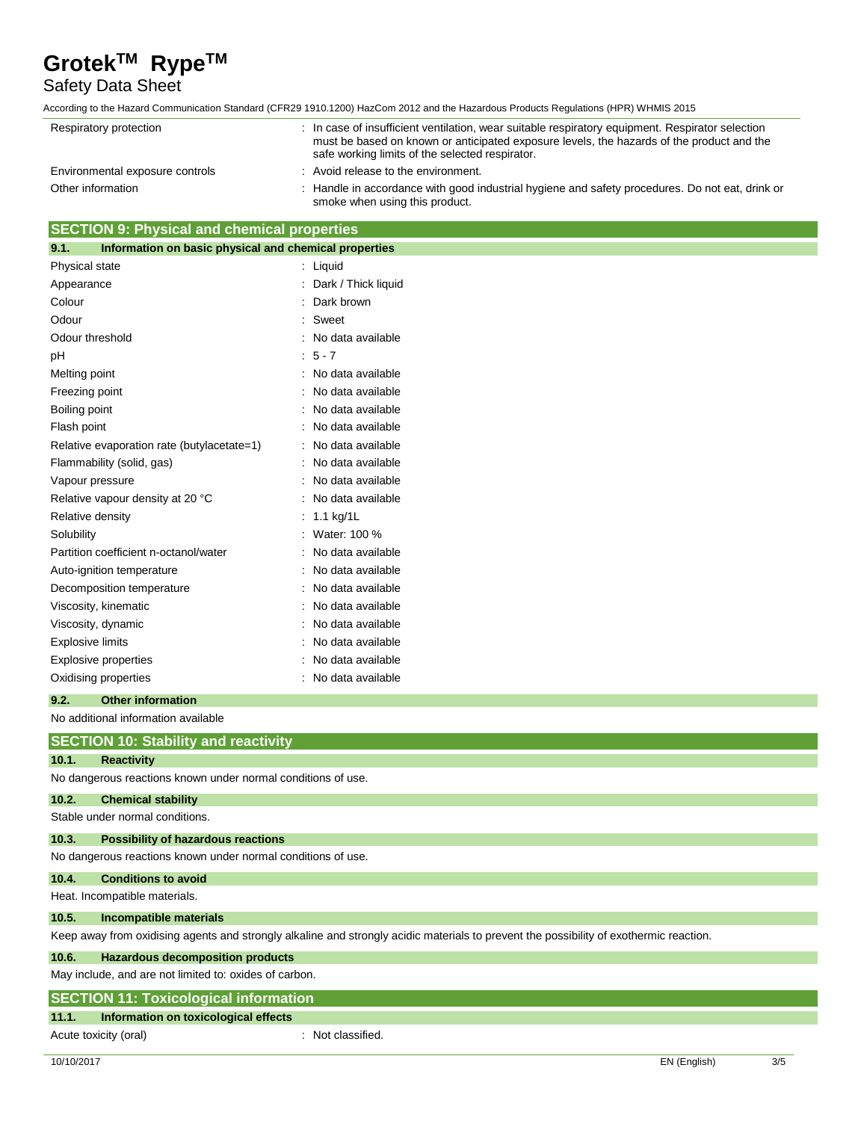## Safety Data Sheet

According to the Hazard Communication Standard (CFR29 1910.1200) HazCom 2012 and the Hazardous Products Regulations (HPR) WHMIS 2015

| Respiratory protection          | : In case of insufficient ventilation, wear suitable respiratory equipment. Respirator selection<br>must be based on known or anticipated exposure levels, the hazards of the product and the<br>safe working limits of the selected respirator. |
|---------------------------------|--------------------------------------------------------------------------------------------------------------------------------------------------------------------------------------------------------------------------------------------------|
| Environmental exposure controls | : Avoid release to the environment.                                                                                                                                                                                                              |
| Other information               | : Handle in accordance with good industrial hygiene and safety procedures. Do not eat, drink or<br>smoke when using this product.                                                                                                                |

#### **SECTION 9: Physical and chemical properties**

| 9.1.                    | Information on basic physical and chemical properties |   |                     |
|-------------------------|-------------------------------------------------------|---|---------------------|
| Physical state          |                                                       | t | Liquid              |
| Appearance              |                                                       |   | Dark / Thick liquid |
| Colour                  |                                                       |   | Dark brown          |
| Odour                   |                                                       |   | Sweet               |
| Odour threshold         |                                                       |   | No data available   |
| рH                      |                                                       |   | $5 - 7$             |
| Melting point           |                                                       |   | No data available   |
| Freezing point          |                                                       |   | No data available   |
| Boiling point           |                                                       |   | No data available   |
| Flash point             |                                                       |   | No data available   |
|                         | Relative evaporation rate (butylacetate=1)            |   | No data available   |
|                         | Flammability (solid, gas)                             |   | No data available   |
| Vapour pressure         |                                                       |   | No data available   |
|                         | Relative vapour density at 20 °C                      |   | No data available   |
| Relative density        |                                                       |   | 1.1 kg/1L           |
| Solubility              |                                                       |   | Water: 100 %        |
|                         | Partition coefficient n-octanol/water                 |   | No data available   |
|                         | Auto-ignition temperature                             |   | No data available   |
|                         | Decomposition temperature                             |   | No data available   |
|                         | Viscosity, kinematic                                  |   | No data available   |
|                         | Viscosity, dynamic                                    |   | No data available   |
| <b>Explosive limits</b> |                                                       |   | No data available   |
|                         | <b>Explosive properties</b>                           |   | No data available   |
|                         | Oxidising properties                                  |   | No data available   |

# **9.2. Other information**

No additional information available

### **SECTION 10: Stability and reactivity**

### **10.1. Reactivity**

No dangerous reactions known under normal conditions of use.

### **10.2. Chemical stability**

Stable under normal conditions.

# **10.3. Possibility of hazardous reactions**

No dangerous reactions known under normal conditions of use.

# **10.4. Conditions to avoid**

Heat. Incompatible materials.

### **10.5. Incompatible materials**

Keep away from oxidising agents and strongly alkaline and strongly acidic materials to prevent the possibility of exothermic reaction.

#### **10.6. Hazardous decomposition products**

May include, and are not limited to: oxides of carbon.

### **SECTION 11: Toxicological information**

## **11.1. Information on toxicological effects**

Acute toxicity (oral) **Example 2** Controller toxicity (oral) and the set of the set of the set of the set of the set of the set of the set of the set of the set of the set of the set of the set of the set of the set of the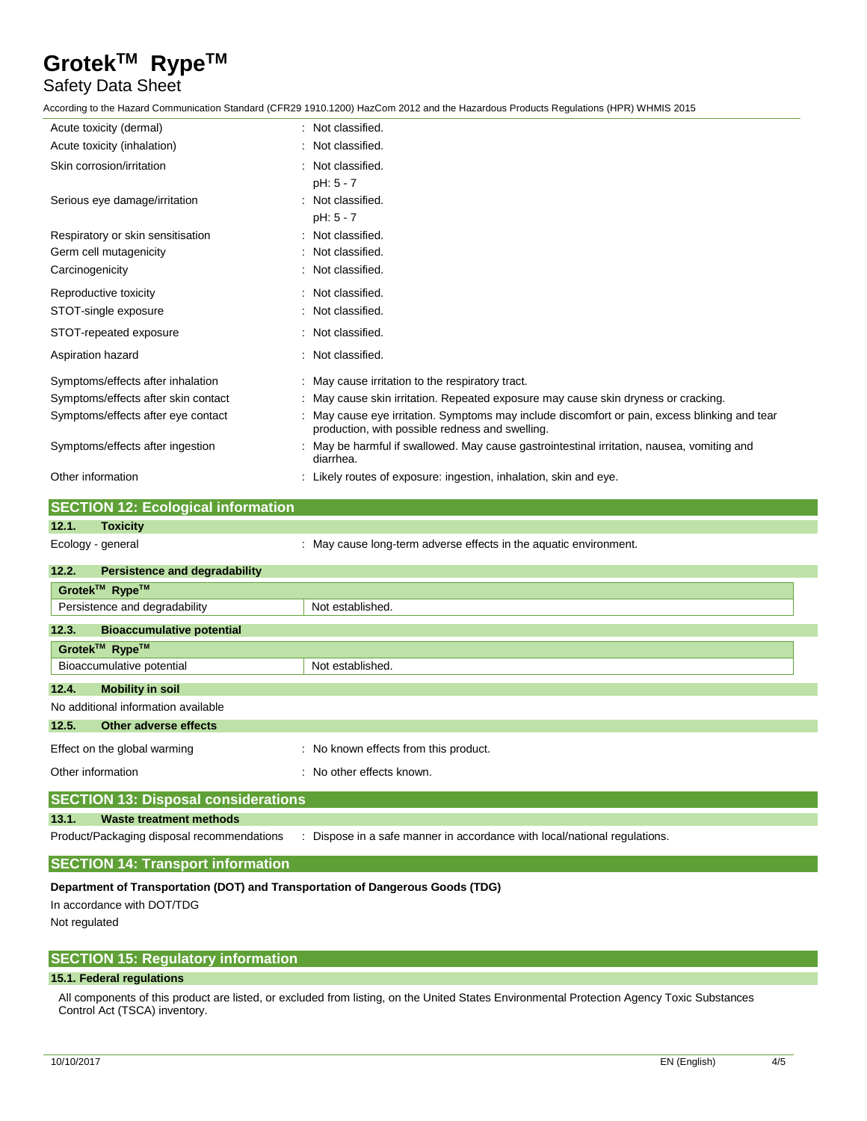# Safety Data Sheet

According to the Hazard Communication Standard (CFR29 1910.1200) HazCom 2012 and the Hazardous Products Regulations (HPR) WHMIS 2015

| Acute toxicity (dermal)                   | : Not classified.                                                                                                                              |
|-------------------------------------------|------------------------------------------------------------------------------------------------------------------------------------------------|
| Acute toxicity (inhalation)               | : Not classified.                                                                                                                              |
| Skin corrosion/irritation                 | : Not classified.                                                                                                                              |
|                                           | pH: 5 - 7                                                                                                                                      |
| Serious eye damage/irritation             | : Not classified.                                                                                                                              |
|                                           | pH: 5 - 7                                                                                                                                      |
| Respiratory or skin sensitisation         | : Not classified.                                                                                                                              |
| Germ cell mutagenicity                    | : Not classified.                                                                                                                              |
| Carcinogenicity                           | : Not classified.                                                                                                                              |
| Reproductive toxicity                     | : Not classified.                                                                                                                              |
| STOT-single exposure                      | : Not classified.                                                                                                                              |
| STOT-repeated exposure                    | : Not classified.                                                                                                                              |
| Aspiration hazard                         | : Not classified.                                                                                                                              |
| Symptoms/effects after inhalation         | : May cause irritation to the respiratory tract.                                                                                               |
| Symptoms/effects after skin contact       | : May cause skin irritation. Repeated exposure may cause skin dryness or cracking.                                                             |
| Symptoms/effects after eye contact        | May cause eye irritation. Symptoms may include discomfort or pain, excess blinking and tear<br>production, with possible redness and swelling. |
| Symptoms/effects after ingestion          | : May be harmful if swallowed. May cause gastrointestinal irritation, nausea, vomiting and<br>diarrhea.                                        |
| Other information                         | : Likely routes of exposure: ingestion, inhalation, skin and eye.                                                                              |
| <b>SECTION 12: Ecological information</b> |                                                                                                                                                |
|                                           |                                                                                                                                                |

| 12.1.<br><b>Toxicity</b>  |                                  |                                                                   |
|---------------------------|----------------------------------|-------------------------------------------------------------------|
| Ecology - general         |                                  | : May cause long-term adverse effects in the aquatic environment. |
| 12.2.                     | Persistence and degradability    |                                                                   |
| Grotek™ Rype™             |                                  |                                                                   |
|                           | Persistence and degradability    | Not established.                                                  |
| 12.3.                     | <b>Bioaccumulative potential</b> |                                                                   |
| Grotek <sup>™</sup> Rype™ |                                  |                                                                   |

| Bioaccumulative potential           |                         | Not established.                    |  |
|-------------------------------------|-------------------------|-------------------------------------|--|
| 12.4.                               | <b>Mobility in soil</b> |                                     |  |
| No additional information available |                         |                                     |  |
| 12.5.                               | Other adverse effects   |                                     |  |
| Effect on the global warming        |                         | No known effects from this product. |  |
| Other information                   |                         | : No other effects known.           |  |

# **SECTION 13: Disposal considerations 13.1. Waste treatment methods** Product/Packaging disposal recommendations : Dispose in a safe manner in accordance with local/national regulations.

### **SECTION 14: Transport information**

### **Department of Transportation (DOT) and Transportation of Dangerous Goods (TDG)**

In accordance with DOT/TDG

Not regulated

## **SECTION 15: Regulatory information**

#### **15.1. Federal regulations**

All components of this product are listed, or excluded from listing, on the United States Environmental Protection Agency Toxic Substances Control Act (TSCA) inventory.